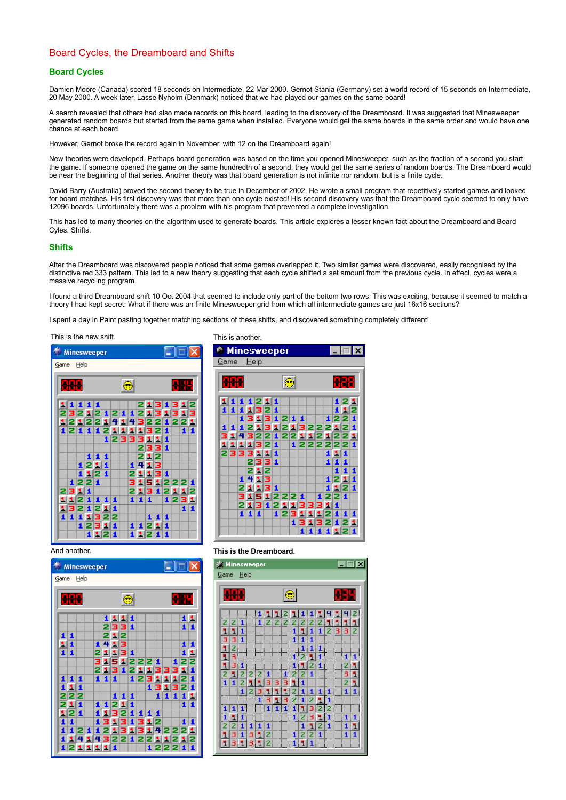# Board Cycles, the Dreamboard and Shifts

### **Board Cycles**

Damien Moore (Canada) scored 18 seconds on Intermediate, 22 Mar 2000. Gernot Stania (Germany) set a world record of 15 seconds on Intermediate, 20 May 2000. A week later, Lasse Nyholm (Denmark) noticed that we had played our games on the same board!

A search revealed that others had also made records on this board, leading to the discovery of the Dreamboard. It was suggested that Minesweeper generated random boards but started from the same game when installed. Everyone would get the same boards in the same order and would have one chance at each board.

However, Gernot broke the record again in November, with 12 on the Dreamboard again!

New theories were developed. Perhaps board generation was based on the time you opened Minesweeper, such as the fraction of a second you start the game. If someone opened the game on the same hundredth of a second, they would get the same series of random boards. The Dreamboard would be near the beginning of that series. Another theory was that board generation is not infinite nor random, but is a finite cycle.

David Barry (Australia) proved the second theory to be true in December of 2002. He wrote a small program that repetitively started games and looked for board matches. His first discovery was that more than one cycle existed! His second discovery was that the Dreamboard cycle seemed to only have 12096 boards. Unfortunately there was a problem with his program that prevented a complete investigation.

This has led to many theories on the algorithm used to generate boards. This article explores a lesser known fact about the Dreamboard and Board Cyles: Shifts.

### **Shifts**

After the Dreamboard was discovered people noticed that some games overlapped it. Two similar games were discovered, easily recognised by the distinctive red 333 pattern. This led to a new theory suggesting that each cycle shifted a set amount from the previous cycle. In effect, cycles were a massive recycling program.

I found a third Dreamboard shift 10 Oct 2004 that seemed to include only part of the bottom two rows. This was exciting, because it seemed to match a theory I had kept secret: What if there was an finite Minesweeper grid from which all intermediate games are just 16x16 sections?

I spent a day in Paint pasting together matching sections of these shifts, and discovered something completely different!

### This is the new shift. This is another.





| <b>Minesweeper</b> |                   |     |   |           |              |        |        |                   |     |              |              |   |                 | $\Box$ $\Box$ $\times$ |
|--------------------|-------------------|-----|---|-----------|--------------|--------|--------|-------------------|-----|--------------|--------------|---|-----------------|------------------------|
| Game               | Help              |     |   |           |              |        |        |                   |     |              |              |   |                 |                        |
|                    |                   |     |   |           |              |        |        |                   |     |              |              |   |                 |                        |
|                    | ₩₩                |     |   |           |              | ⊜      |        |                   |     |              |              |   | <b>XIXE</b>     |                        |
|                    |                   |     |   |           | 11           | 1 1    |        |                   |     |              |              |   | 11              |                        |
|                    |                   |     |   | 2         |              | 331    |        |                   |     |              |              |   | 11              |                        |
| 1<br>11            | 1                 |     | 1 | 2<br>4    | ы<br>s.      | 2<br>з |        |                   |     |              |              |   | 1               | 1                      |
| 11                 |                   |     |   |           |              | з      | 1      |                   |     |              |              |   | 11              |                        |
|                    |                   |     | 3 |           |              |        |        | 1222              |     | 1            |              | 1 | 2               | 2                      |
| 1                  | 1<br>1            |     | 2 | я.<br>1 1 | 3<br>1       |        |        | 1211333<br>123111 |     |              |              |   | 1<br>2          | 1<br>1                 |
| 11                 | 1                 |     |   |           |              |        |        |                   |     |              | 13132        |   |                 | 1                      |
|                    | 222               |     |   |           | $\mathbf{1}$ | 1      | 11     |                   |     | $\mathbf{1}$ | $\mathbf{1}$ | 1 | 11              |                        |
| 2                  | 1<br>g.<br>121    |     | 1 |           | 2<br>3       | 1<br>2 | 1<br>1 | 1                 | 1   | 1            |              |   | 11              |                        |
| 1                  | 1                 |     |   | 3         |              | 3      | 1      |                   | 312 |              |              |   | 1               | 1                      |
| 1                  | 12                | 1   | 1 |           |              | 31     |        | 3.                | 3.I |              |              |   | 42221           |                        |
|                    | 4<br>11<br>121111 | 114 |   |           | 1            | 3221   |        | 22                |     |              |              |   | 11212<br>122211 |                        |
|                    |                   |     |   |           |              |        |        |                   |     |              |              |   |                 |                        |

### And another. **This is the Dreamboard.**

| ※ Minesweeper                    |                       |                                                                       |  |                                                                                                              |              |                                                                                           |  |          |  |
|----------------------------------|-----------------------|-----------------------------------------------------------------------|--|--------------------------------------------------------------------------------------------------------------|--------------|-------------------------------------------------------------------------------------------|--|----------|--|
| <u>Game Help</u>                 |                       |                                                                       |  |                                                                                                              |              |                                                                                           |  |          |  |
|                                  |                       |                                                                       |  |                                                                                                              |              |                                                                                           |  |          |  |
|                                  |                       |                                                                       |  | $\bullet$                                                                                                    |              |                                                                                           |  | 平野       |  |
|                                  |                       |                                                                       |  |                                                                                                              |              |                                                                                           |  |          |  |
|                                  | 11122111111111        |                                                                       |  |                                                                                                              |              |                                                                                           |  |          |  |
| $2 2 1 $ $1 2 2 2 2 2 2 2 1 1 1$ |                       |                                                                       |  |                                                                                                              |              |                                                                                           |  |          |  |
| 1111                             |                       |                                                                       |  |                                                                                                              |              |                                                                                           |  | 11112332 |  |
| 331                              |                       |                                                                       |  | $\begin{array}{ c c c c }\n\hline\n\textbf{1} & \textbf{1} & \textbf{1} & \textbf{1} \\ \hline\n\end{array}$ |              |                                                                                           |  |          |  |
| 2                                |                       |                                                                       |  |                                                                                                              |              | $\begin{array}{ c c c c }\n\hline\n & 1 & 1 & 1 \\ \hline\n & 1 & 2 & 1 & 1\n\end{array}$ |  |          |  |
| 13                               |                       |                                                                       |  |                                                                                                              |              |                                                                                           |  | 1 1      |  |
| 131                              |                       | $\frac{1}{1}$ $\frac{1}{2}$ $\frac{1}{2}$ $\frac{1}{2}$ $\frac{1}{2}$ |  |                                                                                                              |              |                                                                                           |  | 21       |  |
| $12221$ $1221$                   |                       |                                                                       |  |                                                                                                              |              |                                                                                           |  | 31       |  |
| 12113331<br>1                    |                       |                                                                       |  |                                                                                                              | $\mathbf{1}$ |                                                                                           |  | 21       |  |
|                                  | 1 2 3 1 1 1 2 1 1 1 1 |                                                                       |  |                                                                                                              |              |                                                                                           |  | 111      |  |
|                                  |                       | 13132121                                                              |  |                                                                                                              |              |                                                                                           |  |          |  |
| $1 1 1$ $1 1 1 1$ $1 3$          |                       |                                                                       |  |                                                                                                              |              | 1212                                                                                      |  |          |  |
| 111                              |                       | $\blacksquare$                                                        |  |                                                                                                              |              | 12311                                                                                     |  | 111      |  |
| 21111 11<br> 31312 1221          |                       |                                                                       |  |                                                                                                              |              |                                                                                           |  | 11       |  |
|                                  |                       |                                                                       |  |                                                                                                              |              |                                                                                           |  | 111      |  |
| 113                              | $ 1 3 1 2 $ $ 1 1 1 $ |                                                                       |  |                                                                                                              |              |                                                                                           |  |          |  |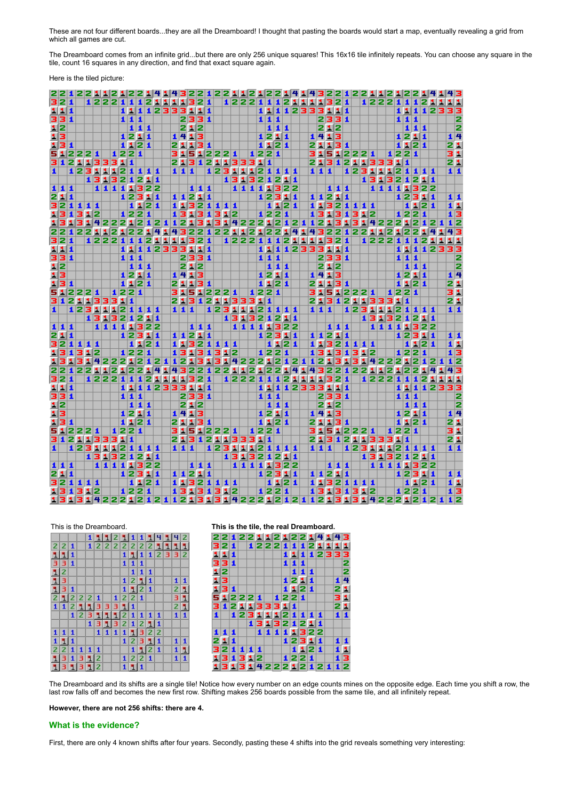These are not four different boards...they are all the Dreamboard! I thought that pasting the boards would start a map, eventually revealing a grid from which all games are cut.

The Dreamboard comes from an infinite grid...but there are only 256 unique squares! This 16x16 tile infinitely repeats. You can choose any square in the tile, count 16 squares in any direction, and find that exact square again.

Here is the tiled picture:

|                  |       |        |              |   |         |    |     |      |       |             |       |     |       |                    |  |        |      |       |              |           |         | 2122112212122141432212212212                          |    |               |      |              |           |           |  |           |     |      |             |          |                                                 |    |
|------------------|-------|--------|--------------|---|---------|----|-----|------|-------|-------------|-------|-----|-------|--------------------|--|--------|------|-------|--------------|-----------|---------|-------------------------------------------------------|----|---------------|------|--------------|-----------|-----------|--|-----------|-----|------|-------------|----------|-------------------------------------------------|----|
| 321              |       |        | 122211       |   |         |    |     |      | 1211  |             | 11321 |     |       |                    |  | 122211 |      |       |              |           |         | 121111321                                             |    |               |      |              |           | 1 2 2 2 1 |  |           |     |      | 11211       |          | 11                                              |    |
| 111              |       |        |              |   |         |    |     |      |       | 11112333111 |       |     |       |                    |  |        |      |       |              |           |         | 11112333111                                           |    |               |      |              |           |           |  |           |     |      |             | 11112333 |                                                 |    |
| 331              |       |        |              |   |         |    | 111 |      |       |             |       |     | 2331  |                    |  |        |      | 1 1 1 |              |           |         |                                                       |    | 2331          |      |              |           |           |  | 111       |     |      |             |          |                                                 | 2  |
| 12               |       |        |              |   |         |    |     | 111  |       |             |       | 212 |       |                    |  |        |      | 111   |              |           |         |                                                       |    | 212           |      |              |           |           |  |           | 111 |      |             |          |                                                 | 72 |
| 13               |       |        |              |   |         |    |     | 1211 |       |             | 1413  |     |       |                    |  |        |      | 1211  |              |           |         |                                                       |    | 1413          |      |              |           |           |  | 1211      |     |      |             |          | 14                                              |    |
|                  | 131   |        |              |   |         |    |     | 1121 |       |             | 21131 |     |       |                    |  |        |      | 1121  |              |           |         |                                                       |    | 21131         |      |              |           |           |  | 1121      |     |      |             |          | 21                                              |    |
|                  |       | 51221  |              |   | 1221    |    |     |      |       |             |       |     |       | 31512221           |  |        | 1221 |       |              |           |         |                                                       |    | 31512221      |      |              |           |           |  | 1221      |     |      |             |          | 31                                              |    |
|                  |       |        | 3121133311   |   |         |    |     |      |       |             |       |     |       | 213121133311       |  |        |      |       |              |           |         |                                                       |    | 213121133311  |      |              |           |           |  |           |     |      |             |          | 21                                              |    |
| $\vert$ 1        |       |        | 123111211111 |   |         |    |     |      |       |             | 1111  |     |       | 123111211111       |  |        |      |       |              |           |         |                                                       |    | 111           |      | 123111211111 |           |           |  |           |     |      |             |          | 11                                              |    |
|                  |       |        | 131321211    |   |         |    |     |      |       |             |       |     |       |                    |  |        |      |       |              | 131321211 |         |                                                       |    |               |      |              |           |           |  | 131321211 |     |      |             |          |                                                 |    |
|                  | $111$ |        | 1111322      |   |         |    |     |      |       |             |       |     | 111   |                    |  |        |      |       |              | 11111322  |         |                                                       |    |               | 111  |              |           |           |  | 11111322  |     |      |             |          |                                                 |    |
|                  | 211   |        |              |   |         |    |     |      | 12311 |             | 11211 |     |       |                    |  |        |      |       |              |           |         |                                                       |    |               |      |              |           |           |  |           |     |      |             |          |                                                 |    |
|                  |       |        |              |   |         |    |     |      |       |             |       |     |       |                    |  |        |      |       |              | 12311     |         |                                                       |    | 11211         |      |              |           |           |  | 1 2 3 1 1 |     | 1121 |             |          | 11<br>$\overline{1}$ $\overline{1}$             |    |
|                  |       | 32111  |              |   |         | L. |     |      | 1121  |             |       |     |       | 11321111           |  |        |      |       |              | 1121      |         |                                                       |    | 11321111      |      |              |           |           |  |           |     |      |             |          |                                                 |    |
|                  |       | 131312 |              |   |         |    |     | 1221 |       |             |       |     |       | 13131312           |  |        |      |       |              |           | 1 2 2 1 |                                                       |    | 13131312      |      |              |           |           |  | 1221      |     |      |             |          | $1\overline{3}$                                 |    |
|                  | 131   |        |              |   |         |    |     |      |       |             |       |     |       |                    |  |        |      |       |              |           |         | 31422212121121313142221212112131                      |    |               |      |              |           |           |  |           |     |      | 31422212121 |          | $1\overline{2}$                                 |    |
|                  |       |        | 2212212      |   |         |    |     |      |       | 21414       |       |     |       |                    |  |        |      |       |              |           |         | 2 2 1 2 2 1 1 2 1 2 2 1 4 1 4                         |    | 322122112122  |      |              |           |           |  |           |     |      |             |          | 43                                              |    |
| 321              |       |        | 122211       |   |         |    |     |      |       | 121111321   |       |     |       |                    |  | 122211 |      |       | $\mathbf{1}$ |           |         | 21111321                                              |    |               |      |              | 12221     |           |  |           |     | 1121 |             |          | 11                                              |    |
| 1111             |       |        |              |   |         |    |     |      |       | 11112333111 |       |     |       |                    |  |        |      |       |              |           |         | 1112333111                                            |    |               |      |              |           |           |  |           |     |      |             | 1112333  |                                                 |    |
| 331              |       |        |              |   |         |    | 111 |      |       |             |       |     | 2331  |                    |  |        |      | 1 1 1 |              |           |         |                                                       |    | 2331          |      |              |           |           |  | $111$     |     |      |             |          |                                                 | 2  |
| 12               |       |        |              |   |         |    |     | 111  |       |             |       |     | 212   |                    |  |        |      | 111   |              |           |         |                                                       |    | 212           |      |              |           |           |  |           | 111 |      |             |          |                                                 | 72 |
|                  | 13    |        |              |   |         |    |     | 1211 |       |             | 1413  |     |       |                    |  |        |      |       |              | 1211      |         |                                                       |    | 1413          |      |              |           |           |  | 1211      |     |      |             |          |                                                 |    |
|                  | 131   |        |              |   |         |    |     | 1121 |       |             | 21131 |     |       |                    |  |        |      | 1121  |              |           |         |                                                       | 21 |               | 131  |              |           |           |  | 1121      |     |      |             |          | $\frac{1}{2}$                                   |    |
|                  |       | 512211 |              |   | 1 2 2 1 |    |     |      |       |             |       |     |       | 31512221           |  |        | 1221 |       |              |           |         |                                                       |    | 31512221      |      |              |           |           |  | 1 2 2 1   |     |      |             |          | 31                                              |    |
|                  |       |        | 3121133311   |   |         |    |     |      |       |             |       |     |       | 213121133311       |  |        |      |       |              |           |         |                                                       |    | 213121133311  |      |              |           |           |  |           |     |      |             |          | 21                                              |    |
| $\blacktriangle$ |       |        | 1231112111   |   |         |    |     |      |       |             | 111   |     |       | 123111211111       |  |        |      |       |              |           |         |                                                       |    | 111           |      | 12311121111  |           |           |  |           |     |      |             |          | 11                                              |    |
|                  |       |        | 131321211    |   |         |    |     |      |       |             |       |     |       |                    |  |        |      |       |              | 131321211 |         |                                                       |    |               |      |              |           |           |  | 131321211 |     |      |             |          |                                                 |    |
|                  | 1 1 1 |        | 111111322    |   |         |    |     |      |       |             |       |     | 111   |                    |  |        |      |       |              | 111111322 |         |                                                       |    |               | 1111 |              |           |           |  | 111111322 |     |      |             |          |                                                 |    |
|                  | 211   |        |              |   |         |    |     |      | 12311 |             | 11211 |     |       |                    |  |        |      |       |              | 12311     |         |                                                       |    | 11211         |      |              |           |           |  | 12311     |     |      |             |          | 11                                              |    |
|                  |       | 32111  |              |   |         |    |     |      | 1121  |             |       |     |       | 11321111           |  |        |      |       |              | 1121      |         |                                                       |    | 1 3 2 1 1 1 1 |      |              |           |           |  |           |     | 1121 |             |          | $\overline{\mathbf{1}}$ $\mathbf{1}$            |    |
| 131              |       | 312    |              |   |         |    |     | 1221 |       |             |       |     |       | 13131312           |  |        |      |       |              |           | 1221    |                                                       |    | 13131312      |      |              |           |           |  | 1221      |     |      |             |          | 13                                              |    |
|                  |       |        |              |   |         |    |     |      |       |             |       |     |       |                    |  |        |      |       |              |           |         | 13131422212121121313142221212112131                   |    |               |      |              |           |           |  |           |     |      | 31422212121 |          | $1\overline{2}$                                 |    |
|                  |       |        | 22122112     |   |         |    |     |      |       | 21414       |       |     |       |                    |  |        |      |       |              |           |         | 2 2 1 2 2 1 1 2 1 2 2 1 4 1 4 3 2 2 1 2 2 1 1 2 1 2 2 |    |               |      |              |           |           |  |           |     |      |             |          | 43                                              |    |
| 321              |       |        | 122211       |   |         |    |     |      |       | 121111321   |       |     |       |                    |  | 122211 |      |       |              |           |         | 121111321                                             |    |               |      |              | 12221     |           |  |           |     |      | 11211       |          | 11                                              |    |
| 1111             |       |        |              |   |         |    |     |      |       | 1112333111  |       |     |       |                    |  |        |      |       |              |           |         | 11112333111                                           |    |               |      |              |           |           |  |           |     |      |             | 1112333  |                                                 |    |
|                  |       |        |              |   |         |    |     |      |       |             |       |     |       |                    |  |        |      |       |              |           |         |                                                       |    |               |      |              |           |           |  |           |     |      |             |          |                                                 |    |
| 331              |       |        |              |   |         |    |     | 111  |       |             |       |     | 2331  |                    |  |        |      | 111   |              |           |         |                                                       |    | 2331          |      |              |           |           |  | $111$     |     |      |             |          |                                                 | 12 |
| 12               |       |        |              |   |         |    |     | 111  |       |             |       | 212 |       |                    |  |        |      | 111   |              |           |         |                                                       |    | 212           |      |              |           |           |  |           | 111 |      |             |          |                                                 | 72 |
|                  | 13    |        |              |   |         |    |     | 1211 |       |             | 1413  |     |       |                    |  |        |      |       |              | 1211      |         |                                                       |    | 1413          |      |              |           |           |  | 1211      |     |      |             |          | 14                                              |    |
|                  | 131   |        |              |   |         |    |     | 1121 |       |             | 21131 |     |       |                    |  |        |      | 1121  |              |           |         |                                                       |    | 21131         |      |              |           |           |  | 1121      |     |      |             |          | 21                                              |    |
|                  |       | 512221 |              |   | 1221    |    |     |      |       |             |       |     |       | 31512221           |  |        | 1221 |       |              |           |         |                                                       |    | 31512221      |      |              |           |           |  | 1221      |     |      |             |          | 31                                              |    |
|                  |       |        | 3121133311   |   |         |    |     |      |       |             |       |     |       | 213121133311       |  |        |      |       |              |           |         |                                                       |    | 213121133311  |      |              |           |           |  |           |     |      |             |          | zī                                              |    |
| $\blacktriangle$ |       |        | 12311121111  |   |         |    |     |      |       |             | 111   |     |       | 12311121111        |  |        |      |       |              |           |         |                                                       |    | 111           |      | 12311121111  |           |           |  |           |     |      |             |          | 11                                              |    |
|                  |       |        | 131321211    |   |         |    |     |      |       |             |       |     |       |                    |  |        |      |       |              | 131321211 |         |                                                       |    |               |      |              | 131321211 |           |  |           |     |      |             |          |                                                 |    |
|                  | 111   |        | 1111111322   |   |         |    |     |      |       |             |       |     | 1 1 1 |                    |  |        |      |       |              | 1111332   |         |                                                       |    |               | 111  |              |           |           |  | 111111322 |     |      |             |          |                                                 |    |
|                  | 211   |        |              |   |         |    |     |      | 12311 |             | 11211 |     |       |                    |  | $\Box$ |      |       |              | 12311     |         |                                                       |    | 11211         |      |              |           |           |  | 12311     |     |      |             |          | 11                                              |    |
|                  |       | 32111  |              | ٠ | $\Box$  |    |     |      | 1121  |             |       |     |       | 11321111           |  |        |      |       |              | 1121      |         |                                                       |    | 11321111      |      |              |           |           |  |           |     | 1121 |             |          | 11                                              |    |
|                  |       | 131312 |              |   |         |    |     | 1221 |       |             |       |     |       | $13131312$ $ 1221$ |  |        |      |       |              |           |         |                                                       |    | 13131312      |      |              |           |           |  | 1221      |     |      |             |          | $\overline{\mathbf{1}}$ $\overline{\mathbf{3}}$ |    |
|                  |       |        |              |   |         |    |     |      |       |             |       |     |       |                    |  |        |      |       |              |           |         | 1313142221212112112131314222121211213131422212112     |    |               |      |              |           |           |  |           |     |      |             |          |                                                 |    |

|  |  | This is the Dreamboard |  |
|--|--|------------------------|--|
|  |  |                        |  |
|  |  |                        |  |

|                     |       |  |           |  |  |                                                                                         |     |         |  | 1112211111111112 |             |
|---------------------|-------|--|-----------|--|--|-----------------------------------------------------------------------------------------|-----|---------|--|------------------|-------------|
| 2 2 1               |       |  |           |  |  | 12222221111                                                                             |     |         |  |                  |             |
| 111                 |       |  |           |  |  | 11112332                                                                                |     |         |  |                  |             |
| 331                 |       |  |           |  |  | $\begin{array}{ c c c c c }\n\hline\n\textbf{1} & \textbf{1} & \textbf{1}\n\end{array}$ |     |         |  |                  |             |
| 12                  |       |  |           |  |  |                                                                                         | 111 |         |  |                  |             |
| 13                  |       |  |           |  |  | 1211                                                                                    |     |         |  | 111              |             |
| 131                 |       |  |           |  |  | 11221                                                                                   |     |         |  |                  | 21          |
| 2 1 2 2 1   1 2 2 1 |       |  |           |  |  |                                                                                         |     |         |  |                  | 31          |
| 1121133311          |       |  |           |  |  |                                                                                         |     |         |  | 21               |             |
|                     |       |  |           |  |  | 1231121111                                                                              |     |         |  | 111              |             |
|                     |       |  |           |  |  | 13132121                                                                                |     |         |  |                  |             |
|                     | 1 1 1 |  |           |  |  | 11111322                                                                                |     |         |  |                  |             |
|                     | 111   |  |           |  |  | 1 2 3 1 1                                                                               |     |         |  | 1 1              |             |
|                     |       |  | 2 2 1 1 1 |  |  |                                                                                         |     | 1 1 2 1 |  |                  | $1\vert 1$  |
| 131312              |       |  |           |  |  | $\vert 1 \vert 2 \vert 2 \vert 1 \vert$                                                 |     |         |  |                  | $1 \vert 1$ |
| 131312              |       |  |           |  |  | 1 1 1                                                                                   |     |         |  |                  |             |



The Dreamboard and its shifts are a single tile! Notice how every number on an edge counts mines on the opposite edge. Each time you shift a row, the last row falls off and becomes the new first row. Shifting makes 256 boards possible from the same tile, and all infinitely repeat.

**However, there are not 256 shifts: there are 4.**

### **What is the evidence?**

First, there are only 4 known shifts after four years. Secondly, pasting these 4 shifts into the grid reveals something very interesting: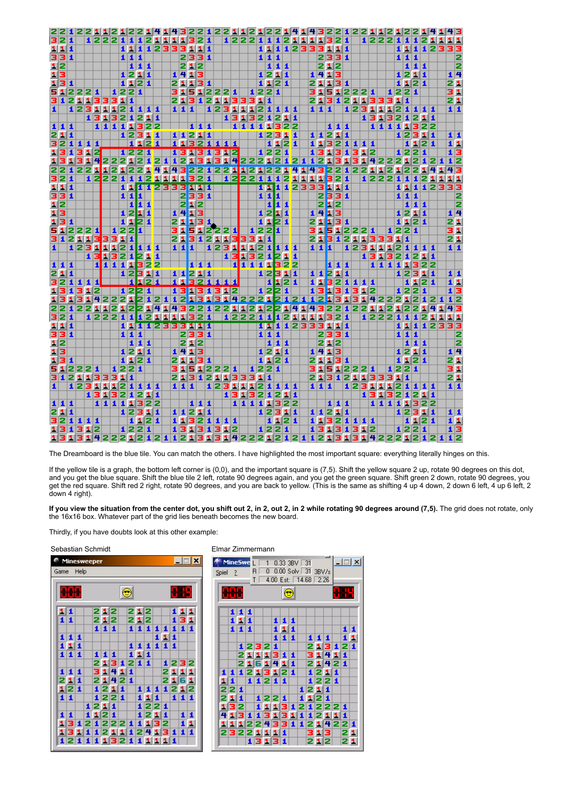|           |                 |              | 12     |     | 2112 |    |             |                         |                         |                |                         |           |          |                |     |                  |                     | 1  |         |     |    |         |    |                 |                      |                         |                  |             |    |                 | 3                  |      |                  |                      |     |    | 111       |   |                  |                         |                  |                  |       |         | 43                                              |    |
|-----------|-----------------|--------------|--------|-----|------|----|-------------|-------------------------|-------------------------|----------------|-------------------------|-----------|----------|----------------|-----|------------------|---------------------|----|---------|-----|----|---------|----|-----------------|----------------------|-------------------------|------------------|-------------|----|-----------------|--------------------|------|------------------|----------------------|-----|----|-----------|---|------------------|-------------------------|------------------|------------------|-------|---------|-------------------------------------------------|----|
| 32        |                 | 11           |        |     | 1222 |    |             |                         | 1                       |                | 2                       | ш         | ы        | 1.             | 1   |                  | 2 1                 |    |         |     |    | 1 2 2 2 |    | 1               | $\blacktriangle$     |                         |                  | 1           | ×. | ш               | 1                  | 31   | 2 1              |                      |     |    | 1222      |   | 1                | 1                       | 1                | 2                | ß.    | ш       | 111                                             |    |
|           | 111             |              |        |     |      |    |             | 1                       | A.                      | $\mathbf{1}$   |                         |           | 12333111 |                |     |                  |                     |    |         |     |    |         |    | 11              |                      | $\overline{\mathbf{1}}$ | $\mathbf{1}$     | 2333111     |    |                 |                    |      |                  |                      |     |    |           |   | $\blacktriangle$ | 11                      | $\blacktriangle$ |                  | 1 2 3 |         | 33                                              |    |
|           | 331             |              |        |     |      |    |             |                         | 11                      | $\mathbf{1}$   |                         |           |          |                |     |                  | 2331                |    |         |     |    |         |    | 11              |                      | $\mathbf{1}$            |                  |             |    |                 | 2331               |      |                  |                      |     |    |           |   | $\mathbf{1}$     | $\mathbf{1}$            | $\blacksquare$   |                  |       |         |                                                 | 2  |
|           | $1\overline{2}$ |              |        |     |      |    |             |                         |                         | 1 1 1          |                         |           |          |                |     |                  | 212                 |    |         |     |    |         |    |                 |                      | 1 1 1                   |                  |             |    |                 | 212                |      |                  |                      |     |    |           |   |                  |                         | 111              |                  |       |         |                                                 | 12 |
|           | 13              |              |        |     |      |    |             |                         |                         | 1211           |                         |           |          |                |     |                  | 1413                |    |         |     |    |         |    |                 | 1211                 |                         |                  |             |    |                 | 1413               |      |                  |                      |     |    |           |   |                  |                         | 1211             |                  |       |         | 14                                              |    |
|           | 131             |              |        |     |      |    |             |                         |                         |                | 1121                    |           |          |                |     |                  | 21131               |    |         |     |    |         |    |                 | 1121                 |                         |                  |             |    |                 | 21131              |      |                  |                      |     |    |           |   |                  |                         | 1121             |                  |       |         | <u>naja</u><br>Pala                             |    |
|           |                 |              | 512221 |     |      |    | 1 2 2 1     |                         |                         |                |                         |           |          |                |     |                  | 31512221            |    |         |     |    |         |    |                 | 1 2 2 1              |                         |                  |             |    |                 |                    |      |                  | 31512221             |     |    |           |   | 1 2 2 1          |                         |                  |                  |       |         |                                                 |    |
|           |                 |              |        |     |      |    | 3121133311  |                         |                         |                |                         |           |          | 21             |     |                  | 3 1 2 1 1 3 3 3 1 1 |    |         |     |    |         |    |                 |                      |                         |                  |             |    |                 |                    |      |                  | 21312113331          |     |    |           |   |                  | $\overline{\mathbf{1}}$ |                  |                  |       |         |                                                 |    |
| 1         |                 |              |        |     |      |    | 12311121111 |                         |                         |                |                         |           |          |                | 11  | $\blacktriangle$ |                     |    | 1 2     | з   | 11 | ш       |    |                 |                      |                         | 121111           |             |    |                 | 111                |      |                  | 12                   |     | ш  | 11        |   | 121111           |                         |                  |                  |       |         | $1\overline{1}$                                 |    |
|           |                 |              |        |     | 1313 |    |             |                         |                         |                | 21211                   |           |          |                |     |                  |                     |    |         | 13  |    | я       | 3  |                 |                      |                         | 21211            |             |    |                 |                    |      |                  |                      |     |    | 1313      |   |                  |                         | 2121             |                  |       |         |                                                 |    |
|           | 111             |              |        |     | 11   |    | 111322      |                         |                         |                |                         |           |          |                |     |                  |                     |    |         |     |    |         |    |                 |                      |                         | 22               |             |    |                 |                    |      | 1 1 1            |                      |     |    | 11111322  |   |                  |                         |                  |                  |       |         |                                                 |    |
|           | 211             |              |        |     |      |    |             |                         |                         |                | 1231                    | $\vert$ 1 |          |                |     |                  | 11211               |    |         |     |    |         |    |                 |                      |                         | 11               |             |    |                 | 1 1 2 1 1          |      |                  |                      |     |    |           |   |                  |                         | 12311            |                  |       |         | 11                                              |    |
|           |                 |              | 321111 |     |      |    |             |                         |                         |                | 1121                    |           |          |                | 11  |                  | 32111               |    |         |     |    |         |    |                 |                      |                         | 1121             |             |    |                 |                    |      |                  | 113211111            |     |    |           |   |                  |                         | 1121             |                  |       |         | 11                                              |    |
|           | 13              | $\mathbf{1}$ | 312    |     |      |    |             |                         | $1\overline{2}$         |                |                         |           |          |                |     |                  |                     |    | 312     |     |    |         |    |                 | 1 2 2 1              |                         |                  |             |    | 1               | в                  |      |                  | 131312               |     |    |           |   |                  |                         | 1221             |                  |       |         | 13                                              |    |
| я         |                 | 1            | 314    |     |      |    | 222         |                         | s.                      |                | $\mathbf{1}$            | 2         | 1        | 1              |     |                  |                     |    |         | 14  |    |         |    |                 |                      |                         |                  | 22212124112 |    |                 |                    | 1    | ш<br>3.          | в                    |     | 4  |           |   | 2221             |                         | 2                | $\blacktriangle$ | 2     |         | $1\overline{2}$                                 |    |
|           | 22              |              | 122    |     | ы    | 12 |             | 1                       |                         |                | ٩                       | 4         |          |                |     |                  | 143221              |    | 22      |     | ш  | 121     |    |                 |                      |                         |                  |             | 14 |                 |                    | 2    | 2                | 122                  |     |    | 1         | 2 | s.               |                         |                  |                  |       |         | 43                                              |    |
|           | 321             |              |        |     |      |    | 12211       |                         | $\overline{\mathbf{1}}$ |                | 2                       | ы         |          | 4 H H          |     |                  | 2                   | и  |         |     |    | 12211   |    |                 | $\blacktriangleleft$ |                         |                  |             |    | 111             |                    | a    | 21               |                      |     |    | 1 2 2 2   |   | $\blacktriangle$ | $\mathbf{1}$            | $\blacktriangle$ |                  |       |         | 11                                              |    |
|           | 111             |              |        |     |      |    |             | 11                      |                         |                | 1                       |           | 2333111  |                |     |                  |                     |    |         |     |    |         |    |                 |                      | 1                       | $\mathbf{1}$     | 233311      |    |                 |                    |      |                  |                      |     |    |           |   | $\mathbf{1}$     |                         |                  |                  |       | 1112333 |                                                 |    |
|           | 331             |              |        |     |      |    |             | $\overline{\mathbf{1}}$ |                         |                |                         |           |          |                |     |                  | 2331                |    |         |     |    |         |    | 11              |                      | 1                       |                  |             |    |                 | 2331               |      |                  |                      |     |    |           |   | $\mathbf{1}$     |                         | 11               |                  |       |         |                                                 | 2  |
|           | $1\overline{2}$ |              |        |     |      |    |             |                         | $\overline{\mathbf{1}}$ | $\vert$ 1      | $\overline{\mathbf{1}}$ |           |          |                |     | 212              |                     |    |         |     |    |         |    |                 | $\blacktriangle$     | ı                       | $\blacktriangle$ |             |    |                 | 2 <mark>1</mark> 2 |      |                  |                      |     |    |           |   |                  |                         | 111              |                  |       |         |                                                 | 2  |
|           | 13              |              |        |     |      |    |             | $1\overline{2}$         |                         | 11             |                         |           |          |                |     |                  | 1413                |    |         |     |    |         |    | $1\overline{2}$ |                      | 11                      |                  |             |    |                 | 1413               |      |                  |                      |     |    |           |   |                  |                         | 1211             |                  |       |         | 14                                              |    |
|           | 131             |              |        |     |      |    |             | 11                      |                         | 21             |                         |           |          |                |     |                  | 21131               |    |         |     |    |         |    |                 | 11                   | 21                      |                  |             |    | 21              |                    |      | 131              |                      |     |    |           |   |                  |                         | 1121             |                  |       |         | 21                                              |    |
|           |                 |              | 512221 |     |      |    | 122         |                         |                         | ī              |                         |           |          | 31             |     | 5                | п                   |    | 2221    |     |    |         |    | 122             |                      | T                       |                  |             |    | з               | 1                  | š    |                  | 1 2 2 2 1            |     |    |           |   | 1 2 2 1          |                         |                  |                  |       |         | 31                                              |    |
|           | 312             |              |        |     |      |    | 1133311     |                         |                         |                |                         |           |          | 21             |     |                  | 31                  |    | 2113331 |     |    |         |    |                 | 1                    |                         |                  |             |    | 21              |                    |      |                  | 3121133311           |     |    |           |   |                  |                         |                  |                  |       |         | 21                                              |    |
| L         |                 |              |        |     |      |    | 12311121    |                         |                         |                | 111                     |           |          |                |     | 1 1 1            |                     |    | 1 2 3   |     | 1  | 1121    |    |                 |                      |                         | 111              |             |    |                 | 111                |      |                  | 1 2 3                |     | 1  |           |   | 1121111          |                         |                  |                  |       |         | 11                                              |    |
|           |                 |              |        |     | 13   |    |             |                         |                         |                |                         |           |          |                |     |                  |                     |    |         | 1   | 31 |         | з  | 21              |                      |                         | 211              |             |    |                 |                    |      |                  |                      |     | 13 |           |   | 1321211          |                         |                  |                  |       |         |                                                 |    |
|           | 111             |              |        |     | 1    |    | 132121      |                         |                         |                |                         |           |          |                |     |                  |                     |    |         |     |    | 11111   |    |                 |                      |                         | 322              |             |    |                 |                    |      | 111              |                      |     |    | 111111322 |   |                  |                         |                  |                  |       |         |                                                 |    |
|           | 211             |              |        |     |      |    |             | $1\overline{2}$         |                         |                | 311                     |           |          |                | 11  |                  | 211                 |    |         |     |    |         |    |                 | 12                   |                         | 311              |             |    |                 |                    |      |                  | $11211$<br>$1132111$ |     |    |           |   |                  |                         | 1 2 3 1 1        |                  |       |         | 11                                              |    |
|           |                 |              | 321111 |     |      |    |             |                         |                         |                |                         | H.        |          | $\blacksquare$ |     |                  |                     |    |         |     |    |         |    |                 | $\mathbf{1}$         |                         | 1 2 1            |             |    |                 |                    |      |                  |                      |     |    |           |   |                  |                         | 1121             |                  |       |         | 11                                              |    |
|           | 13              | 1            | 31     |     | 12   |    |             | $1\overline{2}$         |                         |                |                         |           |          |                |     |                  |                     |    | 313     | 112 |    |         |    |                 | $1\overline{2}$      | e                       | 1                |             |    |                 | 1313               |      | $\blacktriangle$ |                      | 312 |    |           |   |                  | 1 2                     | 2                | $\mathbf{1}$     |       |         | $1\overline{3}$                                 |    |
|           | 113             | đ.           | 31     |     | 14   |    | 2221        |                         |                         |                | $\blacktriangle$        | 2         |          | 11             |     |                  |                     |    |         |     |    | 142221  |    |                 |                      | 2                       | 12               |             |    | 12              |                    | ł.   | i,<br>з          |                      |     |    | 1422      |   | 2                | 1                       | 2                | $\blacktriangle$ | 2     |         | $1\overline{2}$                                 |    |
|           | 22              |              | 1221   |     |      |    | 121         |                         | E                       |                | s.                      | 4         |          | 4              |     |                  |                     | 1  | 22      |     |    |         | 21 |                 |                      | Þ                       |                  |             |    | 43              |                    |      | 2                | 122                  |     |    |           |   |                  |                         |                  |                  |       |         | 43                                              |    |
|           | 321             |              |        |     |      |    | 12221       |                         | $\overline{\mathbf{1}}$ |                |                         | 1         |          | 1              | d.  |                  |                     |    |         |     |    | 12221   |    |                 | $\blacktriangle$     |                         | 2                | 1           | п  |                 | 113                |      | 21               |                      |     |    | 1 2 2 2   |   | $\mathbf{1}$     | $\blacktriangle$        | $\blacktriangle$ |                  | 211   |         | 11                                              |    |
|           | 1111            |              |        |     |      |    |             | 11                      |                         | $\blacksquare$ |                         |           | 12333111 |                |     |                  |                     |    |         |     |    |         |    | 11              |                      | $\mathbf{1}$            |                  | 12333111    |    |                 |                    |      |                  |                      |     |    |           |   | $\mathbf{1}$     |                         |                  |                  |       | 1112333 |                                                 |    |
|           | 331             |              |        |     |      |    |             |                         | 11                      | $\mathbf{1}$   |                         |           |          |                |     |                  | 2331                |    |         |     |    |         |    | 11              |                      | $\blacktriangle$        |                  |             |    |                 | 2331               |      |                  |                      |     |    |           |   |                  | 111                     |                  |                  |       |         |                                                 | z  |
|           | 12              |              |        |     |      |    |             |                         |                         | 1 1 1          |                         |           |          |                |     | 212              |                     |    |         |     |    |         |    |                 |                      | 111                     |                  |             |    |                 | 212                |      |                  |                      |     |    |           |   |                  |                         | 1 1 1            |                  |       |         |                                                 | 12 |
|           | 13              |              |        |     |      |    |             |                         |                         | 1211           |                         |           |          |                |     |                  | 1413                |    |         |     |    |         |    |                 | 1211                 |                         |                  |             |    |                 | 1 41 3             |      |                  |                      |     |    |           |   |                  |                         | 1211             |                  |       |         | 14                                              |    |
|           | 131             |              |        |     |      |    |             |                         |                         |                | 1121                    |           |          |                | 21  |                  | 131                 |    |         |     |    |         |    |                 | 1121                 |                         |                  |             |    |                 | 21131              |      |                  |                      |     |    |           |   |                  |                         | 1121             |                  |       |         | 21                                              |    |
|           |                 |              | 512221 |     |      |    | 1 2 2 1     |                         |                         |                |                         |           |          |                | 31  |                  | 5122                |    |         | 12. | 1  |         |    |                 | 1 2 2 1              |                         |                  |             |    |                 |                    |      |                  | 31512221             |     |    |           |   | 1 2 2 1          |                         |                  |                  |       |         | 31                                              |    |
|           |                 |              |        |     |      |    | 3121133311  |                         |                         |                |                         |           |          | 21             |     |                  | 3121133311          |    |         |     |    |         |    |                 |                      |                         |                  |             |    |                 |                    |      |                  | 213121133311         |     |    |           |   |                  |                         |                  |                  |       |         | $\overline{2}$ $\overline{1}$                   |    |
| $\vert$ 1 |                 |              | 123    |     | 11   |    | 1 2 1       |                         |                         |                | 1 1 1                   |           |          |                | 111 |                  |                     |    | 1 2 3   |     | 1  | 1       | 12 |                 | $\blacktriangle$     | $\mathbf{1}$            | L                | 1           |    |                 | 111                |      |                  | 123                  |     | 1  |           |   | 112              | $\blacktriangle$        | $\mathbf{1}$     | 11               |       |         | 11                                              |    |
|           |                 |              |        |     | 13   | 1  | з           | 2                       | $\blacktriangle$        |                |                         | 11        |          |                |     |                  |                     |    |         |     |    | 1313    |    | 2               |                      |                         | 1211             |             |    |                 |                    |      |                  |                      |     | 13 |           |   | 132              | $\mathbf{1}$            | 2                | 11               |       |         |                                                 |    |
|           | 111             |              |        |     |      |    | 1 1 1 1 1   |                         |                         |                | 322                     |           |          |                |     |                  | 1 1 1               |    |         |     |    | 11111   |    |                 |                      |                         | 322              |             |    |                 |                    |      | 1 1 1            |                      |     |    | 1 1 1 1   |   |                  | 1                       | 322              |                  |       |         |                                                 |    |
|           | 211             |              |        |     |      |    |             |                         |                         | 123            |                         | 11        |          |                |     |                  | 11211               |    |         |     |    |         |    |                 | 123                  |                         | 11               |             |    |                 | 11211              |      |                  |                      |     |    |           |   |                  |                         | 12311            |                  |       |         | 11                                              |    |
|           | 321             |              |        | 111 |      |    |             |                         |                         |                | 1121                    |           |          |                |     |                  | 11321111            |    |         |     |    |         |    |                 | $\mathbf{1}$         |                         | 121              |             |    |                 |                    |      |                  | 11321111             |     |    |           |   |                  |                         | 1121             |                  |       |         | $\overline{\mathbf{1}}$ $\overline{\mathbf{1}}$ |    |
|           | 131             |              | 312    |     |      |    |             |                         |                         | 1 2 2 1        |                         |           |          |                | 13  |                  | 131                 |    | 312     |     |    |         |    |                 | 1 2 2 1              |                         |                  |             |    | 13              |                    |      |                  | 131312               |     |    |           |   |                  |                         | 1 2 2 1          |                  |       |         | $1\overline{3}$                                 |    |
|           | 13              | E.           | R      |     | 142  |    | 221         |                         |                         |                | 21                      |           |          |                | 1 2 | 1                | в                   | s. |         |     | 42 |         |    |                 | 2212                 |                         | 12               |             |    | $1\overline{2}$ |                    | 113. | ß.               |                      |     |    | 142       |   | 22121            |                         |                  |                  |       |         | $1\overline{2}$                                 |    |
|           |                 |              |        |     |      |    |             |                         |                         |                |                         |           |          |                |     |                  |                     |    |         |     |    |         |    |                 |                      |                         |                  |             |    |                 |                    |      |                  |                      |     |    |           |   |                  |                         |                  |                  |       |         |                                                 |    |

The Dreamboard is the blue tile. You can match the others. I have highlighted the most important square: everything literally hinges on this.

If the yellow tile is a graph, the bottom left corner is (0,0), and the important square is (7,5). Shift the yellow square 2 up, rotate 90 degrees on this dot, and you get the blue square. Shift the blue tile 2 left, rotate 90 degrees again, and you get the green square. Shift green 2 down, rotate 90 degrees, you get the red square. Shift red 2 right, rotate 90 degrees, and you are back to yellow. (This is the same as shifting 4 up 4 down, 2 down 6 left, 4 up 6 left, 2 down 4 right).

If you view the situation from the center dot, you shift out 2, in 2, out 2, in 2 while rotating 90 degrees around (7,5). The grid does not rotate, only the 16x16 box. Whatever part of the grid lies beneath becomes the new board.

Thirdly, if you have doubts look at this other example:

## Sebastian Schmidt Elmar Zimmermann



| Spiel ? |              | <b>MineSwe</b> | Τ    | R                | $\overline{1}$<br>0 |   | $4.00$ Est: | $0.33$ 3BV $\vert$<br>0.00 Solv 31 3BV/s |   | 31<br>$14.68$ 2.26 |       |      |     |    | -  □ × |
|---------|--------------|----------------|------|------------------|---------------------|---|-------------|------------------------------------------|---|--------------------|-------|------|-----|----|--------|
|         |              |                |      |                  |                     |   |             | Ξ                                        |   |                    |       |      |     | 概  |        |
|         | 1            |                | 1    |                  |                     |   |             |                                          |   |                    |       |      |     |    |        |
|         | 1            | 1              | 1    |                  |                     | 1 |             |                                          |   |                    |       |      |     |    |        |
|         | $\mathbf{1}$ | $\mathbf{1}$   | 1    |                  |                     | 1 | з.          | 1                                        |   |                    |       |      |     | 11 | 1      |
|         |              |                |      |                  |                     | 1 | 1           | 1                                        |   | 1                  |       | 1    |     | 11 |        |
|         |              |                | 1232 |                  |                     | 1 |             |                                          |   | 2                  | ы     | з    | 1   | 21 |        |
|         |              | 2              | 111  |                  | 11                  | в |             | 1                                        |   | 3.                 | м     | 4    | 11  | 1  |        |
|         |              | 2              |      |                  | 116 114 11          |   |             | 1                                        |   |                    | 21    | 41   | 21  |    |        |
| 1       | 1            |                |      |                  | 1213121             |   |             |                                          |   | 1                  | 12.   | ы    | 1   |    |        |
| 1       | 1            |                |      |                  | 1 1 2 1 1           |   |             |                                          |   |                    |       | 1221 |     |    |        |
| 2       | 21           | 1              |      |                  |                     |   |             |                                          | 1 |                    | 21    | 1    |     |    |        |
| 2       | я            | 1              |      |                  | 122                 |   | 11          |                                          | 1 |                    | 121   |      |     |    |        |
| ۸       | 31           | 2              |      | 1                | ш                   |   | з           | 1                                        | 2 | 1                  | 2     |      | 22  | 1  |        |
| 4       |              | 3              | 1    | $\blacktriangle$ | з                   |   | 3           | 11                                       | 1 | 1                  | 2     | И.   | I 1 | 1  |        |
| 11      |              | 111            |      |                  | 2243                |   | з           | 1                                        | 1 | 2                  |       | 4    | 12. | 2  | 1      |
| 2       |              |                |      |                  | 322111              |   | 1           |                                          |   |                    | 313   |      |     | 21 |        |
|         |              |                | 1    |                  | 3131                |   |             |                                          |   |                    | 2 1 2 |      |     | 21 |        |